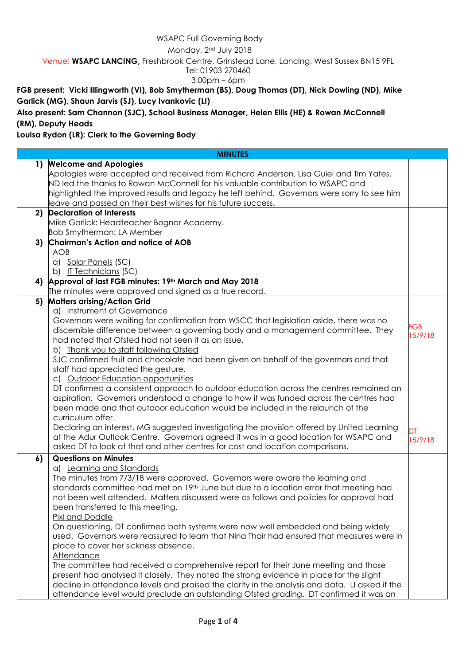# WSAPC Full Governing Body

#### Monday, 2nd July 2018

Venue: **WSAPC LANCING,** Freshbrook Centre, Grinstead Lane, Lancing, West Sussex BN15 9FL

# Tel: 01903 270460

#### 3.00pm – 6pm

**FGB present: Vicki Illingworth (VI), Bob Smytherman (BS), Doug Thomas (DT), Nick Dowling (ND), Mike Garlick (MG), Shaun Jarvis (SJ), Lucy Ivankovic (LI)**

**Also present: Sam Channon (SJC), School Business Manager, Helen Ellis (HE) & Rowan McConnell (RM), Deputy Heads**

## **Louisa Rydon (LR): Clerk to the Governing Body**

| <b>MINUTES</b> |                                                                                                   |                  |  |  |  |  |
|----------------|---------------------------------------------------------------------------------------------------|------------------|--|--|--|--|
|                | 1) Welcome and Apologies                                                                          |                  |  |  |  |  |
|                | Apologies were accepted and received from Richard Anderson, Lisa Guiel and Tim Yates.             |                  |  |  |  |  |
|                | ND led the thanks to Rowan McConnell for his valuable contribution to WSAPC and                   |                  |  |  |  |  |
|                | highlighted the improved results and legacy he left behind. Governors were sorry to see him       |                  |  |  |  |  |
|                | leave and passed on their best wishes for his future success.                                     |                  |  |  |  |  |
| 2)             | <b>Declaration of Interests</b>                                                                   |                  |  |  |  |  |
|                | Mike Garlick: Headteacher Bognor Academy.                                                         |                  |  |  |  |  |
|                | <b>Bob Smytherman: LA Member</b>                                                                  |                  |  |  |  |  |
| 3)             | Chairman's Action and notice of AOB                                                               |                  |  |  |  |  |
|                | <b>AOB</b>                                                                                        |                  |  |  |  |  |
|                | a) Solar Panels (SC)                                                                              |                  |  |  |  |  |
|                | b)<br><u>IT Technicians</u> (SC)                                                                  |                  |  |  |  |  |
| 4)             | Approval of last FGB minutes: 19th March and May 2018                                             |                  |  |  |  |  |
|                | The minutes were approved and signed as a true record.                                            |                  |  |  |  |  |
| 5)             | <b>Matters arising/Action Grid</b>                                                                |                  |  |  |  |  |
|                | a) Instrument of Governance                                                                       |                  |  |  |  |  |
|                | Governors were waiting for confirmation from WSCC that legislation aside, there was no            |                  |  |  |  |  |
|                | discernible difference between a governing body and a management committee. They                  | $-GB$<br>15/9/18 |  |  |  |  |
|                | had noted that Ofsted had not seen it as an issue.                                                |                  |  |  |  |  |
|                | b) Thank you to staff following Ofsted                                                            |                  |  |  |  |  |
|                | SJC confirmed fruit and chocolate had been given on behalf of the governors and that              |                  |  |  |  |  |
|                | staff had appreciated the gesture.                                                                |                  |  |  |  |  |
|                | c) Outdoor Education opportunities                                                                |                  |  |  |  |  |
|                | DT confirmed a consistent approach to outdoor education across the centres remained an            |                  |  |  |  |  |
|                | aspiration. Governors understood a change to how it was funded across the centres had             |                  |  |  |  |  |
|                | been made and that outdoor education would be included in the relaunch of the                     |                  |  |  |  |  |
|                | curriculum offer.                                                                                 |                  |  |  |  |  |
|                | Declaring an interest, MG suggested investigating the provision offered by United Learning        | DТ               |  |  |  |  |
|                | at the Adur Outlook Centre. Governors agreed it was in a good location for WSAPC and              | 15/9/18          |  |  |  |  |
|                | asked DT to look at that and other centres for cost and location comparisons.                     |                  |  |  |  |  |
| 6)             | <b>Questions on Minutes</b>                                                                       |                  |  |  |  |  |
|                | a) Learning and Standards                                                                         |                  |  |  |  |  |
|                | The minutes from 7/3/18 were approved. Governors were aware the learning and                      |                  |  |  |  |  |
|                | standards committee had met on 19 <sup>th</sup> June but due to a location error that meeting had |                  |  |  |  |  |
|                | not been well attended. Matters discussed were as follows and policies for approval had           |                  |  |  |  |  |
|                | been transferred to this meeting.                                                                 |                  |  |  |  |  |
|                | Pixl and Doddle                                                                                   |                  |  |  |  |  |
|                | On questioning, DT confirmed both systems were now well embedded and being widely                 |                  |  |  |  |  |
|                | used. Governors were reassured to learn that Nina Thair had ensured that measures were in         |                  |  |  |  |  |
|                | place to cover her sickness absence.                                                              |                  |  |  |  |  |
|                | <b>Attendance</b>                                                                                 |                  |  |  |  |  |
|                | The committee had received a comprehensive report for their June meeting and those                |                  |  |  |  |  |
|                | present had analysed it closely. They noted the strong evidence in place for the slight           |                  |  |  |  |  |
|                | decline in attendance levels and praised the clarity in the analysis and data. LI asked if the    |                  |  |  |  |  |
|                | attendance level would preclude an outstanding Ofsted grading. DT confirmed it was an             |                  |  |  |  |  |
|                |                                                                                                   |                  |  |  |  |  |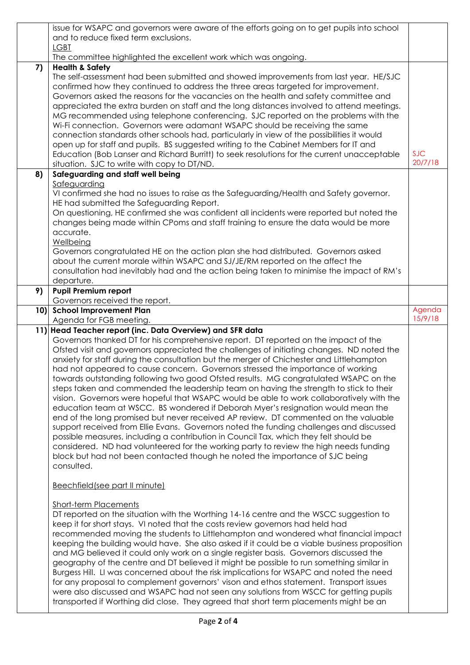|          | issue for WSAPC and governors were aware of the efforts going on to get pupils into school                                                                                                                                                                                                                                                                                                                                                                                                                                                                                                                                                                                                                                                                                                                                                                                                                                                                                                                                                                                                                                                                                                                                                                       |                       |
|----------|------------------------------------------------------------------------------------------------------------------------------------------------------------------------------------------------------------------------------------------------------------------------------------------------------------------------------------------------------------------------------------------------------------------------------------------------------------------------------------------------------------------------------------------------------------------------------------------------------------------------------------------------------------------------------------------------------------------------------------------------------------------------------------------------------------------------------------------------------------------------------------------------------------------------------------------------------------------------------------------------------------------------------------------------------------------------------------------------------------------------------------------------------------------------------------------------------------------------------------------------------------------|-----------------------|
|          | and to reduce fixed term exclusions.<br><b>LGBT</b>                                                                                                                                                                                                                                                                                                                                                                                                                                                                                                                                                                                                                                                                                                                                                                                                                                                                                                                                                                                                                                                                                                                                                                                                              |                       |
|          | The committee highlighted the excellent work which was ongoing.                                                                                                                                                                                                                                                                                                                                                                                                                                                                                                                                                                                                                                                                                                                                                                                                                                                                                                                                                                                                                                                                                                                                                                                                  |                       |
| 7)<br>8) | <b>Health &amp; Safety</b><br>The self-assessment had been submitted and showed improvements from last year. HE/SJC<br>confirmed how they continued to address the three areas targeted for improvement.<br>Governors asked the reasons for the vacancies on the health and safety committee and<br>appreciated the extra burden on staff and the long distances involved to attend meetings.<br>MG recommended using telephone conferencing. SJC reported on the problems with the<br>Wi-Fi connection. Governors were adamant WSAPC should be receiving the same<br>connection standards other schools had, particularly in view of the possibilities it would<br>open up for staff and pupils. BS suggested writing to the Cabinet Members for IT and<br>Education (Bob Lanser and Richard Burritt) to seek resolutions for the current unacceptable<br>situation. SJC to write with copy to DT/ND.<br>Safeguarding and staff well being<br>Safeguarding                                                                                                                                                                                                                                                                                                      | <b>SJC</b><br>20/7/18 |
|          | VI confirmed she had no issues to raise as the Safeguarding/Health and Safety governor.<br>HE had submitted the Safeguarding Report.<br>On questioning, HE confirmed she was confident all incidents were reported but noted the<br>changes being made within CPoms and staff training to ensure the data would be more<br>accurate.<br>Wellbeing<br>Governors congratulated HE on the action plan she had distributed. Governors asked<br>about the current morale within WSAPC and SJ/JE/RM reported on the affect the<br>consultation had inevitably had and the action being taken to minimise the impact of RM's<br>departure.                                                                                                                                                                                                                                                                                                                                                                                                                                                                                                                                                                                                                              |                       |
| 9)       | <b>Pupil Premium report</b>                                                                                                                                                                                                                                                                                                                                                                                                                                                                                                                                                                                                                                                                                                                                                                                                                                                                                                                                                                                                                                                                                                                                                                                                                                      |                       |
|          | Governors received the report.<br>10) School Improvement Plan                                                                                                                                                                                                                                                                                                                                                                                                                                                                                                                                                                                                                                                                                                                                                                                                                                                                                                                                                                                                                                                                                                                                                                                                    | Agenda                |
|          | Agenda for FGB meeting.                                                                                                                                                                                                                                                                                                                                                                                                                                                                                                                                                                                                                                                                                                                                                                                                                                                                                                                                                                                                                                                                                                                                                                                                                                          | 15/9/18               |
|          | 11) Head Teacher report (inc. Data Overview) and SFR data<br>Governors thanked DT for his comprehensive report. DT reported on the impact of the<br>Ofsted visit and governors appreciated the challenges of initiating changes. ND noted the<br>anxiety for staff during the consultation but the merger of Chichester and Littlehampton<br>had not appeared to cause concern. Governors stressed the importance of working<br>towards outstanding following two good Ofsted results. MG congratulated WSAPC on the<br>steps taken and commended the leadership team on having the strength to stick to their<br>vision. Governors were hopeful that WSAPC would be able to work collaboratively with the<br>education team at WSCC. BS wondered if Deborah Myer's resignation would mean the<br>end of the long promised but never received AP review. DT commented on the valuable<br>support received from Ellie Evans. Governors noted the funding challenges and discussed<br>possible measures, including a contribution in Council Tax, which they felt should be<br>considered. ND had volunteered for the working party to review the high needs funding<br>block but had not been contacted though he noted the importance of SJC being<br>consulted. |                       |
|          | Beechfield (see part II minute)                                                                                                                                                                                                                                                                                                                                                                                                                                                                                                                                                                                                                                                                                                                                                                                                                                                                                                                                                                                                                                                                                                                                                                                                                                  |                       |
|          | <b>Short-term Placements</b><br>DT reported on the situation with the Worthing 14-16 centre and the WSCC suggestion to<br>keep it for short stays. VI noted that the costs review governors had held had<br>recommended moving the students to Littlehampton and wondered what financial impact<br>keeping the building would have. She also asked if it could be a viable business proposition<br>and MG believed it could only work on a single register basis. Governors discussed the<br>geography of the centre and DT believed it might be possible to run something similar in<br>Burgess Hill. LI was concerned about the risk implications for WSAPC and noted the need<br>for any proposal to complement governors' vison and ethos statement. Transport issues<br>were also discussed and WSAPC had not seen any solutions from WSCC for getting pupils<br>transported if Worthing did close. They agreed that short term placements might be an                                                                                                                                                                                                                                                                                                      |                       |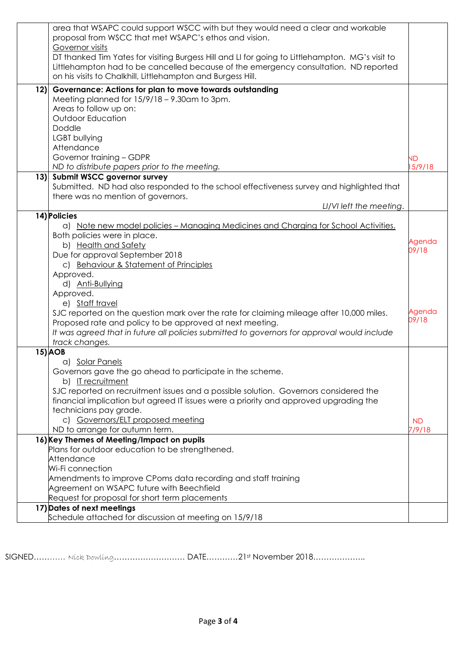|     | area that WSAPC could support WSCC with but they would need a clear and workable<br>proposal from WSCC that met WSAPC's ethos and vision.<br>Governor visits<br>DT thanked Tim Yates for visiting Burgess Hill and LI for going to Littlehampton. MG's visit to                                                                                                                     |                     |
|-----|-------------------------------------------------------------------------------------------------------------------------------------------------------------------------------------------------------------------------------------------------------------------------------------------------------------------------------------------------------------------------------------|---------------------|
|     | Littlehampton had to be cancelled because of the emergency consultation. ND reported<br>on his visits to Chalkhill, Littlehampton and Burgess Hill.                                                                                                                                                                                                                                 |                     |
| 12) | Governance: Actions for plan to move towards outstanding<br>Meeting planned for $15/9/18 - 9.30$ am to 3pm.<br>Areas to follow up on:<br><b>Outdoor Education</b><br>Doddle                                                                                                                                                                                                         |                     |
|     | LGBT bullying<br>Attendance                                                                                                                                                                                                                                                                                                                                                         |                     |
|     | Governor training - GDPR<br>ND to distribute papers prior to the meeting.                                                                                                                                                                                                                                                                                                           | <b>ND</b><br>5/9/18 |
|     | 13) Submit WSCC governor survey<br>Submitted. ND had also responded to the school effectiveness survey and highlighted that<br>there was no mention of governors.<br>LI/VI left the meeting.                                                                                                                                                                                        |                     |
|     | 14) Policies                                                                                                                                                                                                                                                                                                                                                                        |                     |
|     | a) Note new model policies - Managing Medicines and Charging for School Activities.<br>Both policies were in place.<br>b) Health and Safety<br>Due for approval September 2018<br>c) Behaviour & Statement of Principles<br>Approved.<br>d) Anti-Bullying<br>Approved.                                                                                                              | Agenda<br>09/18     |
|     | e) Staff travel<br>SJC reported on the question mark over the rate for claiming mileage after 10,000 miles.<br>Proposed rate and policy to be approved at next meeting.<br>It was agreed that in future all policies submitted to governors for approval would include<br>track changes.                                                                                            | Agenda<br>09/18     |
|     | <b>15) AOB</b>                                                                                                                                                                                                                                                                                                                                                                      |                     |
|     | a) Solar Panels<br>Governors gave the go ahead to participate in the scheme.<br>b) IT recruitment<br>SJC reported on recruitment issues and a possible solution. Governors considered the<br>financial implication but agreed IT issues were a priority and approved upgrading the<br>technicians pay grade.<br>c) Governors/ELT proposed meeting<br>ND to arrange for autumn term. | <b>ND</b><br>7/9/18 |
|     | 16) Key Themes of Meeting/Impact on pupils                                                                                                                                                                                                                                                                                                                                          |                     |
|     | Plans for outdoor education to be strengthened.<br>Attendance<br>Wi-Fi connection<br>Amendments to improve CPoms data recording and staff training<br>Agreement on WSAPC future with Beechfield<br>Request for proposal for short term placements                                                                                                                                   |                     |
|     | 17) Dates of next meetings                                                                                                                                                                                                                                                                                                                                                          |                     |
|     | Schedule attached for discussion at meeting on 15/9/18                                                                                                                                                                                                                                                                                                                              |                     |

SIGNED……*……* Nick Dowling……………………… DATE…………21st November 2018………………..